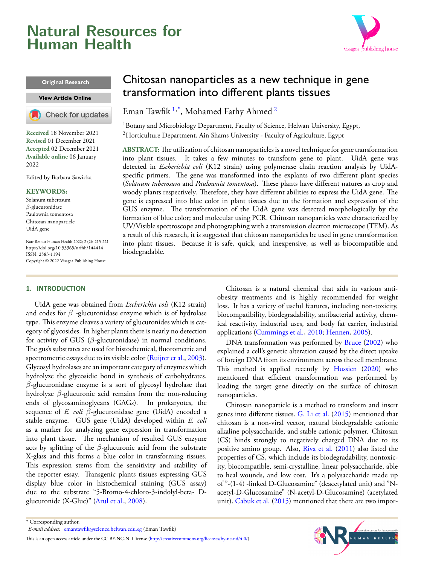# <span id="page-0-2"></span>**Natural Resources for Human Health**



#### **Original Research**

#### **[View Article Online](https://doi.org/10.53365/nrfhh/144414)**



**Received** 18 November 2021 **Revised** 01 December 2021 **Accepted** 02 December 2021 **Available online** 06 January 2022

Edited by Barbara Sawicka

#### **KEYWORDS:**

Solanum tuberosum *β*-glucuronidase Paulownia tomentosa Chitosan nanoparticle UidA gene

Natr Resour Human Health 2022; 2 (2): 215-221 <https://doi.org/10.53365/nrfhh/144414> ISSN: 2583-1194 Copyright © 2022 Visagaa Publishing House

#### **1. INTRODUCTION**

UidA gene was obtained from *Escherichia coli* (K12 strain) and codes for *β* -glucuronidase enzyme which is of hydrolase type. This enzyme cleaves a variety of glucuronides which is category of glycosides. In higher plants there is nearly no detection for activity of GUS (*β*-glucuronidase) in normal conditions. The gus's substrates are used for histochemical, fluorometric and spectrometricessays due to its visible color ([Ruijter et al.,](#page-6-0) [2003](#page-6-0)). Glycosyl hydrolases are an important category of enzymes which hydrolyze the glycosidic bond in synthesis of carbohydrates. *β*-glucuronidase enzyme is a sort of glycosyl hydrolase that hydrolyze *β*-glucuronic acid remains from the non-reducing ends of glycosaminoglycans (GAGs). In prokaryotes, the sequence of *E. coli β*-glucuronidase gene (UidA) encoded a stable enzyme. GUS gene (UidA) developed within *E. coli* as a marker for analyzing gene expression in transformation into plant tissue. The mechanism of resulted GUS enzyme acts by splitting of the *β*-glucuronic acid from the substrate X-glass and this forms a blue color in transforming tissues. This expression stems from the sensitivity and stability of the reporter essay. Transgenic plants tissues expressing GUS display blue color in histochemical staining (GUS assay) due to the substrate "5-Bromo-4-chloro-3-indolyl-beta- Dglucuronide (X-Gluc)" [\(Arul et al.](#page-5-0), [2008](#page-5-0)).

## Chitosan nanoparticles as a new technique in gene transformation into different plants tissues

Eman Tawfik <sup>[1](#page-0-0),\*</sup>, Mohamed Fathy Ahmed <sup>[2](#page-0-1)</sup>

<span id="page-0-1"></span><span id="page-0-0"></span> $1B$ otany and Microbiology Department, Faculty of Science, Helwan University, Egypt, <sup>2</sup>Horticulture Department, Ain Shams University - Faculty of Agriculture, Egypt

**ABSTRACT:**The utilization of chitosan nanoparticles is a novel technique for gene transformation into plant tissues. It takes a few minutes to transform gene to plant. UidA gene was detected in *Escherichia coli* (K12 strain) using polymerase chain reaction analysis by UidAspecific primers. The gene was transformed into the explants of two different plant species (*Solanum tuberosum* and *Paulownia tomentosa*). These plants have different natures as crop and woody plants respectively. Therefore, they have different abilities to express the UidA gene. The gene is expressed into blue color in plant tissues due to the formation and expression of the GUS enzyme. The transformation of the UidA gene was detected morphologically by the formation of blue color; and molecular using PCR. Chitosan nanoparticles were characterized by UV/Visible spectroscope and photographing with a transmission electron microscope (TEM). As a result of this research, it is suggested that chitosan nanoparticles be used in gene transformation into plant tissues. Because it is safe, quick, and inexpensive, as well as biocompatible and biodegradable.

> Chitosan is a natural chemical that aids in various antiobesity treatments and is highly recommended for weight loss. It has a variety of useful features, including non-toxicity, biocompatibility, biodegradability, antibacterial activity, chemical reactivity, industrial uses, and body fat carrier, industrial applications([Cummings et al.,](#page-5-1) [2010;](#page-5-1) [Hennen](#page-5-2), [2005](#page-5-2)).

> DNA transformation was performed by [Bruce](#page-5-3) ([2002\)](#page-5-3) who explained a cell's genetic alteration caused by the direct uptake of foreign DNA from its environment across the cell membrane. This method is applied recently by [Hussien](#page-5-4) ([2020\)](#page-5-4) who mentioned that efficient transformation was performed by loading the target gene directly on the surface of chitosan nanoparticles.

> Chitosan nanoparticle is a method to transform and insert genes into different tissues. [G. Li et al.](#page-5-5) ([2015\)](#page-5-5) mentioned that chitosan is a non-viral vector, natural biodegradable cationic alkaline polysaccharide, and stable cationic polymer. Chitosan (CS) binds strongly to negatively charged DNA due to its positive amino group. Also, [Riva et al.](#page-6-1) [\(2011](#page-6-1)) also listed the properties of CS, which include its biodegradability, nontoxicity, biocompatible, semi-crystalline, linear polysaccharide, able to heal wounds, and low cost. It's a polysaccharide made up of "-(1-4) -linked D-Glucosamine" (deacetylated unit) and "Nacetyl-D-Glucosamine" (N-acetyl-D-Glucosamine) (acetylated unit). [Cabuk et al.](#page-5-6) ([2015\)](#page-5-6) mentioned that there are two impor-



*E-mail address:* [emantawfik@science.helwan.edu.eg](mailto:{emantawfik@science.helwan.edu.eg} ) (Eman Tawfik)

<sup>\*</sup> Corresponding author.

This is an open access article under the CC BY-NC-ND license(<http://creativecommons.org/licenses/by-nc-nd/4.0/>).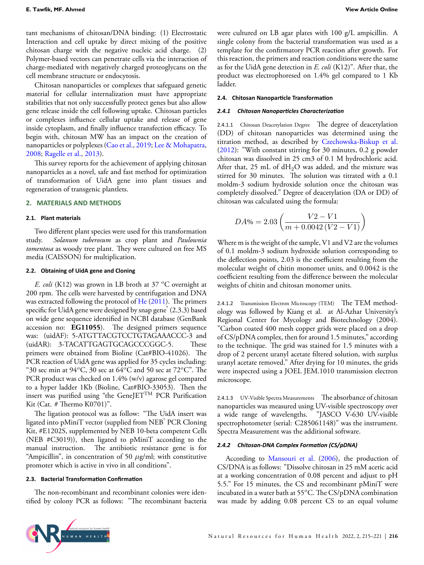tant mechanisms of chitosan/DNA binding: (1) Electrostatic Interaction and cell uptake by direct mixing of the positive chitosan charge with the negative nucleic acid charge. (2) Polymer-based vectors can penetrate cells via the interaction of charge-mediated with negatively charged proteoglycans on the cell membrane structure or endocytosis.

Chitosan nanoparticles or complexes that safeguard genetic material for cellular internalization must have appropriate stabilities that not only successfully protect genes but also allow gene release inside the cell following uptake. Chitosan particles or complexes influence cellular uptake and release of gene inside cytoplasm, and finally influence transfection efficacy. To begin with, chitosan MW has an impact on the creation of nanoparticles or polyplexes [\(Cao et al.,](#page-5-7) [2019](#page-5-7); [Lee & Mohapatra,](#page-5-8) [2008](#page-5-8); [Ragelle et al.,](#page-6-2) [2013\)](#page-6-2).

This survey reports for the achievement of applying chitosan nanoparticles as a novel, safe and fast method for optimization of transformation of UidA gene into plant tissues and regeneration of transgenic plantlets.

#### **2. MATERIALS AND METHODS**

#### **2.1. Plant materials**

Two different plant species were used for this transformation study. *Solanum tuberosum* as crop plant and *Paulownia tomentosa* as woody tree plant. They were cultured on free MS media (CAISSON) for multiplication.

#### **2.2. Obtaining of UidA gene and Cloning**

*E. coli* (K12) was grown in LB broth at 37 *<sup>o</sup>*C overnight at 200 rpm. The cells were harvested by centrifugation and DNA was extracted following the protocol of [He](#page-5-9) ([2011\)](#page-5-9). The primers specific for UidA gene were designed by snap gene® (2.3.3) based on wide gene sequence identified in NCBI database (GenBank accession no: **EG11055**). The designed primers sequence was: (uidAF): 5-ATGTTACGTCCTGTAGAAACCC-3 and (uidAR): 3-TACATTGAGTGCAGCCCGGC-5. These primers were obtained from Bioline (Cat#BIO-41026). The PCR reaction of UidA gene was applied for 35 cycles including: "30 sec min at 94*<sup>o</sup>*C, 30 sec at 64*<sup>o</sup>*C and 50 sec at 72*<sup>o</sup>*C". The PCR product was checked on 1.4% (w/v) agarose gel compared to a hyper ladder 1Kb (Bioline, Cat#BIO-33053). Then the insert was purified using "the GeneJETTM PCR Purification Kit (Cat. # Thermo K0701)".

The ligation protocol was as follow: "The UidA insert was ligated into pMiniT vector (supplied from NEB<sup>®</sup> PCR Cloning Kit, #E1202S, supplemented by NEB 10-beta competent Cells (NEB #C3019)), then ligated to pMiniT according to the manual instruction. The antibiotic resistance gene is for "Ampicillin", in concentration of 50 *µ*g/ml; with constitutive promoter which is active in vivo in all conditions".

#### **2.3. Bacterial TransformaƟon ConfirmaƟon**

The non-recombinant and recombinant colonies were identified by colony PCR as follows: "The recombinant bacteria were cultured on LB agar plates with 100 g/L ampicillin. A single colony from the bacterial transformation was used as a template for the confirmatory PCR reaction after growth. For this reaction, the primers and reaction conditions were the same as for the UidA gene detection in *E. coli* (K12)". After that, the product was electrophoresed on 1.4% gel compared to 1 Kb ladder.

#### **2.4. Chitosan NanoparƟcle TransformaƟon**

#### *2.4.1 Chitosan NanoparƟcles CharacterizaƟon*

2.4.1.1 Chitosan Deacetylation Degree The degree of deacetylation (DD) of chitosan nanoparticles was determined using the titration method, as described by [Czechowska-Biskup et al.](#page-5-10) ([2012](#page-5-10)): "With constant stirring for 30 minutes, 0.2 g powder chitosan was dissolved in 25 cm3 of 0.1 M hydrochloric acid. After that, 25 mL of  $dH_2O$  was added, and the mixture was stirred for 30 minutes. The solution was titrated with a 0.1 moldm-3 sodium hydroxide solution once the chitosan was completely dissolved." Degree of deacetylation (DA or DD) of chitosan was calculated using the formula:

$$
DA\% = 2.03 \left( \frac{V2 - V1}{m + 0.0042 (V2 - V1)} \right)
$$

Where m is the weight of the sample, V1 and V2 are the volumes of 0.1 moldm-3 sodium hydroxide solution corresponding to the deflection points, 2.03 is the coefficient resulting from the molecular weight of chitin monomer units, and 0.0042 is the coefficient resulting from the difference between the molecular weights of chitin and chitosan monomer units.

2.4.1.2 Transmission Electron Microscopy (TEM) The TEM methodology was followed by Kiang et al. at Al-Azhar University's Regional Center for Mycology and Biotechnology (2004). "Carbon coated 400 mesh copper grids were placed on a drop of CS/pDNA complex, then for around 1.5 minutes," according to the technique. The grid was stained for 1.5 minutes with a drop of 2 percent uranyl acetate filtered solution, with surplus uranyl acetate removed." After drying for 10 minutes, the grids were inspected using a JOEL JEM.1010 transmission electron microscope.

2.4.1.3 UV-Visible Spectra Measurements The absorbance of chitosan nanoparticles was measured using UV-visible spectroscopy over a wide range of wavelengths. "JASCO V-630 UV-visible spectrophotometer (serial: C285061148)" was the instrument. Spectra Measurement was the additional software.

#### *2.4.2 Chitosan-DNA Complex FormaƟon (CS/pDNA)*

According to [Mansouri et al.](#page-5-11) ([2006\)](#page-5-11), the production of CS/DNA is as follows: "Dissolve chitosan in 25 mM acetic acid at a working concentration of 0.08 percent and adjust to pH 5.5." For 15 minutes, the CS and recombinant pMiniT were incubated in a water bath at 55*<sup>o</sup>*C. The CS/pDNA combination was made by adding 0.08 percent CS to an equal volume

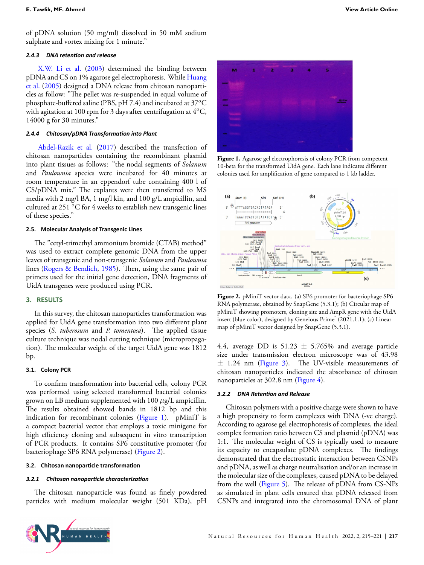#### *2.4.3 DNA retenƟon and release*

[X.W. Li et al.](#page-5-12) ([2003](#page-5-12)) determined the binding between pDNA and CS on 1% agarose gel electrophoresis. While [Huang](#page-5-13) [et al.](#page-5-13) [\(2005](#page-5-13)) designed a DNA release from chitosan nanoparticles as follow: "The pellet was re-suspended in equal volume of phosphate-buffered saline (PBS, pH 7.4) and incubated at 37*<sup>o</sup>*C with agitation at 100 rpm for 3 days after centrifugation at 4*<sup>o</sup>*C, 14000 g for 30 minutes."

#### *2.4.4 Chitosan/pDNA TransformaƟon into Plant*

[Abdel-Razik et al.](#page-5-14) ([2017\)](#page-5-14) described the transfection of chitosan nanoparticles containing the recombinant plasmid into plant tissues as follows: "the nodal segments of *Solanum* and *Paulownia* species were incubated for 40 minutes at room temperature in an eppendorf tube containing 400 l of CS/pDNA mix." The explants were then transferred to MS media with 2 mg/l BA, 1 mg/l kin, and 100 g/L ampicillin, and cultured at 251 *◦*C for 4 weeks to establish new transgenic lines of these species."

#### **2.5. Molecular Analysis of Transgenic Lines**

The "cetyl-trimethyl ammonium bromide (CTAB) method" was used to extract complete genomic DNA from the upper leaves of transgenic and non-transgenic *Solanum* and *Paulownia* lines [\(Rogers & Bendich,](#page-6-3) [1985](#page-6-3)). Then, using the same pair of primers used for the initial gene detection, DNA fragments of UidA transgenes were produced using PCR.

#### **3. RESULTS**

In this survey, the chitosan nanoparticles transformation was applied for UidA gene transformation into two different plant species (*S. tuberosum* and *P. tomentosa*). The applied tissue culture technique was nodal cutting technique (micropropagation). The molecular weight of the target UidA gene was 1812 bp.

#### **3.1. Colony PCR**

To confirm transformation into bacterial cells, colony PCR was performed using selected transformed bacterial colonies grown on LB medium supplemented with 100 *µ*g/L ampicillin. The results obtained showed bands in 1812 bp and this indication for recombinant colonies (Figure [1](#page-2-0)). pMiniT is a compact bacterial vector that employs a toxic minigene for high efficiency cloning and subsequent in vitro transcription of PCR products. It contains SP6 constitutive promoter (for bacteriophage SP6 RNA polymerase) (Figure [2\)](#page-2-1).

#### **3.2. Chitosan nanoparƟcle transformaƟon**

#### *3.2.1 Chitosan nanoparƟcle characterizaƟon*

The chitosan nanoparticle was found as finely powdered particles with medium molecular weight (501 KDa), pH

<span id="page-2-0"></span>

**Figure 1.** Agarose gel electrophoresis of colony PCR from competent 10-beta for the transformed UidA gene. Each lane indicates different colonies used for amplification of gene compared to 1 kb ladder.

<span id="page-2-1"></span>

**Figure 2.** pMiniT vector data. (a) SP6 promoter for bacteriophage SP6 RNA polymerase, obtained by SnapGene (5.3.1); (b) Circular map of pMiniT showing promoters, cloning site and AmpR gene with the UidA insert (blue color), designed by Geneious Prime® (2021.1.1); (c) Linear map of pMiniT vector designed by SnapGene (5.3.1).

4.4, average DD is  $51.23 \pm 5.765\%$  and average particle size under transmission electron microscope was of 43.98 *±* 1.24 nm (Figure [3](#page-3-0)). The UV-visible measurements of chitosan nanoparticles indicated the absorbance of chitosan nanoparticles at 302.8 nm (Figure [4\)](#page-3-1).

#### *3.2.2 DNA RetenƟon and Release*

Chitosan polymers with a positive charge were shown to have a high propensity to form complexes with DNA (-ve charge). According to agarose gel electrophoresis of complexes, the ideal complex formation ratio between CS and plasmid (pDNA) was 1:1. The molecular weight of CS is typically used to measure its capacity to encapsulate pDNA complexes. The findings demonstrated that the electrostatic interaction between CSNPs and pDNA, as well as charge neutralisation and/or an increase in the molecular size of the complexes, caused pDNA to be delayed from the well (Figure [5](#page-3-2)). The release of pDNA from CS-NPs as simulated in plant cells ensured that pDNA released from CSNPs and integrated into the chromosomal DNA of plant

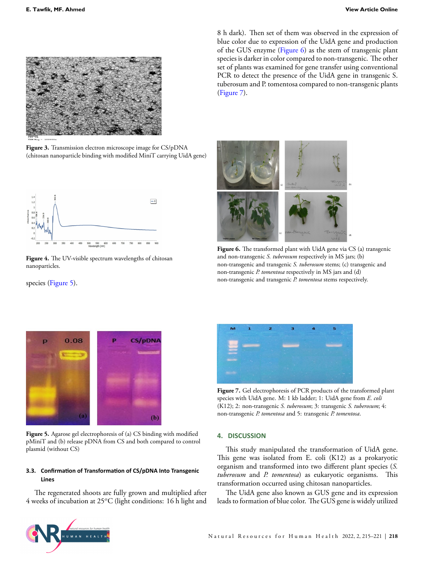<span id="page-3-0"></span>

**Figure 3.** Transmission electron microscope image for CS/pDNA (chitosan nanoparticle binding with modified MiniT carrying UidA gene)

<span id="page-3-1"></span>

**Figure 4.** The UV-visible spectrum wavelengths of chitosan nanoparticles.

<span id="page-3-2"></span>species (Figure [5](#page-3-2)).



**Figure 5.** Agarose gel electrophoresis of (a) CS binding with modified pMiniT and (b) release pDNA from CS and both compared to control plasmid (without CS)

#### **3.3. ConfirmaƟon of TransformaƟon of CS/pDNA Into Transgenic Lines**

The regenerated shoots are fully grown and multiplied after 4 weeks of incubation at 25*<sup>o</sup>*C (light conditions: 16 h light and 8 h dark). Then set of them was observed in the expression of blue color due to expression of the UidA gene and production of the GUS enzyme (Figure [6](#page-3-3)) as the stem of transgenic plant species is darker in color compared to non-transgenic. The other set of plants was examined for gene transfer using conventional PCR to detect the presence of the UidA gene in transgenic S. tuberosum and P. tomentosa compared to non-transgenic plants (Figure [7\)](#page-3-4).

<span id="page-3-3"></span>

Figure 6. The transformed plant with UidA gene via CS (a) transgenic and non-transgenic *S. tuberosum* respectively in MS jars; (b) non-transgenic and transgenic *S. tuberosum* stems; (c) transgenic and non-transgenic *P. tomentosa* respectively in MS jars and (d) non-transgenic and transgenic *P. tomentosa* stems respectively.

<span id="page-3-4"></span>

**Figure 7.** Gel electrophoresis of PCR products of the transformed plant species with UidA gene. M: 1 kb ladder; 1: UidA gene from *E. coli* (K12); 2: non-transgenic *S. tuberosum*; 3: transgenic *S. tuberosum*; 4: non-transgenic *P. tomentosa* and 5: transgenic *P. tomentosa*.

#### **4. DISCUSSION**

This study manipulated the transformation of UidA gene. This gene was isolated from E. coli (K12) as a prokaryotic organism and transformed into two different plant species (*S. tuberosum* and *P. tomentosa*) as eukaryotic organisms. This transformation occurred using chitosan nanoparticles.

The UidA gene also known as GUS gene and its expression leads to formation of blue color. The GUS gene is widely utilized

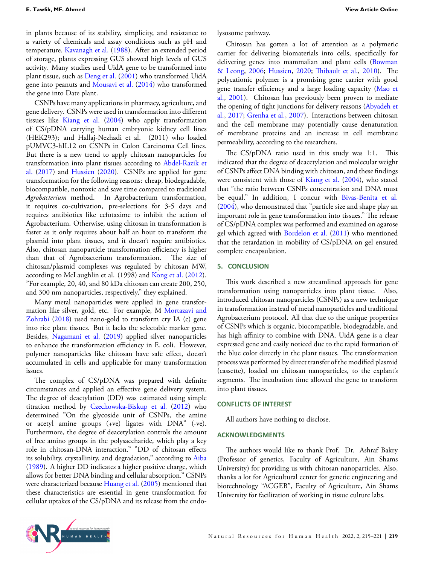in plants because of its stability, simplicity, and resistance to a variety of chemicals and assay conditions such as pH and temperature. [Kavanagh et al.](#page-5-15) ([1988\)](#page-5-15). After an extended period of storage, plants expressing GUS showed high levels of GUS activity. Many studies used UidA gene to be transformed into plant tissue, such as [Deng et al.](#page-5-16) [\(2001](#page-5-16)) who transformed UidA gene into peanuts and [Mousavi et al.](#page-5-17) [\(2014](#page-5-17)) who transformed the gene into Date plant.

CSNPs have many applications in pharmacy, agriculture, and gene delivery. CSNPs were used in transformation into different tissues like [Kiang et al.](#page-5-18) [\(2004](#page-5-18)) who apply transformation of CS/pDNA carrying human embryonic kidney cell lines (HEK293); and Hallaj-Nezhadi et al. (2011) who loaded pUMVC3-hIL12 on CSNPs in Colon Carcinoma Cell lines. But there is a new trend to apply chitosan nanoparticles for transformation into plant tissues according to [Abdel-Razik et](#page-5-14) [al.](#page-5-14) [\(2017](#page-5-14)) and [Hussien](#page-5-4) [\(2020\)](#page-5-4). CSNPs are applied for gene transformation for the following reasons: cheap, biodegradable, biocompatible, nontoxic and save time compared to traditional *Agrobacterium* method. In Agrobacterium transformation, it requires co-cultivation, pre-selections for 3-5 days and requires antibiotics like cefotaxime to inhibit the action of Agrobacterium. Otherwise, using chitosan in transformation is faster as it only requires about half an hour to transform the plasmid into plant tissues, and it doesn't require antibiotics. Also, chitosan nanoparticle transformation efficiency is higher than that of Agrobacterium transformation. The size of chitosan/plasmid complexes was regulated by chitosan MW, according to McLaughlin et al. (1998) and [Kong et al.](#page-5-19) [\(2012](#page-5-19)). "For example, 20, 40, and 80 kDa chitosan can create 200, 250, and 300 nm nanoparticles, respectively," they explained.

Many metal nanoparticles were applied in gene transformation like silver, gold, etc. For example, M [Mortazavi and](#page-5-20) [Zohrabi](#page-5-20) [\(2018](#page-5-20)) used nano-gold to transform cry IA (c) gene into rice plant tissues. But it lacks the selectable marker gene. Besides, [Nagamani et al.](#page-5-21) [\(2019](#page-5-21)) applied silver nanoparticles to enhance the transformation efficiency in E. coli. However, polymer nanoparticles like chitosan have safe effect, doesn't accumulated in cells and applicable for many transformation issues.

The complex of CS/pDNA was prepared with definite circumstances and applied an effective gene delivery system. The degree of deactylation (DD) was estimated using simple titration method by [Czechowska-Biskup et al.](#page-5-10) [\(2012](#page-5-10)) who determined "On the glycoside unit of CSNPs, the amine or acetyl amine groups (+ve) ligates with DNA" (-ve). Furthermore, the degree of deacetylation controls the amount of free amino groups in the polysaccharide, which play a key role in chitosan-DNA interaction." "DD of chitosan effects its solubility, crystallinity, and degradation," according to [Aiba](#page-5-22) ([1989\)](#page-5-22). A higher DD indicates a higher positive charge, which allows for better DNA binding and cellular absorption." CSNPs were characterized because [Huang et al.](#page-5-13) [\(2005](#page-5-13)) mentioned that these characteristics are essential in gene transformation for cellular uptakes of the CS/pDNA and its release from the endolysosome pathway.

Chitosan has gotten a lot of attention as a polymeric carrier for delivering biomaterials into cells, specifically for delivering genes into mammalian and plant cells([Bowman](#page-5-23) [& Leong,](#page-5-23) [2006](#page-5-23); [Hussien](#page-5-4), [2020;](#page-5-4) [Thibault et al.,](#page-6-4) [2010](#page-6-4)). The polycationic polymer is a promising gene carrier with good gene transfer efficiency and a large loading capacity([Mao et](#page-5-24) [al.,](#page-5-24) [2001](#page-5-24)). Chitosan has previously been proven to mediate the opening of tight junctions for delivery reasons([Abyadeh et](#page-5-25) [al.,](#page-5-25) [2017](#page-5-25); [Grenha et al.](#page-5-26), [2007\)](#page-5-26). Interactions between chitosan and the cell membrane may potentially cause denaturation of membrane proteins and an increase in cell membrane permeability, according to the researchers.

The CS/pDNA ratio used in this study was 1:1. This indicated that the degree of deacetylation and molecular weight of CSNPs affect DNA binding with chitosan, and these findings were consistent with those of [Kiang et al.](#page-5-18) ([2004\)](#page-5-18), who stated that "the ratio between CSNPs concentration and DNA must be equal." In addition, I concur with [Bivas-Benita et al.](#page-5-27) ([2004](#page-5-27)), who demonstrated that "particle size and shape play an important role in gene transformation into tissues." The release of CS/pDNA complex was performed and examined on agarose gel which agreed with [Bordelon et al.](#page-5-28) ([2011\)](#page-5-28) who mentioned that the retardation in mobility of CS/pDNA on gel ensured complete encapsulation.

#### **5. CONCLUSION**

This work described a new streamlined approach for gene transformation using nanoparticles into plant tissue. Also, introduced chitosan nanoparticles (CSNPs) as a new technique in transformation instead of metal nanoparticles and traditional Agrobacterium protocol. All that due to the unique properties of CSNPs which is organic, biocompatible, biodegradable, and has high affinity to combine with DNA. UidA gene is a clear expressed gene and easily noticed due to the rapid formation of the blue color directly in the plant tissues. The transformation process was performed by direct transfer of the modified plasmid (cassette), loaded on chitosan nanoparticles, to the explant's segments. The incubation time allowed the gene to transform into plant tissues.

#### **CONFLICTS OF INTEREST**

All authors have nothing to disclose.

#### **ACKNOWLEDGMENTS**

The authors would like to thank Prof. Dr. Ashraf Bakry (Professor of genetics, Faculty of Agriculture, Ain Shams University) for providing us with chitosan nanoparticles. Also, thanks a lot for Agricultural center for genetic engineering and biotechnology "ACGEB", Faculty of Agriculture, Ain Shams University for facilitation of working in tissue culture labs.

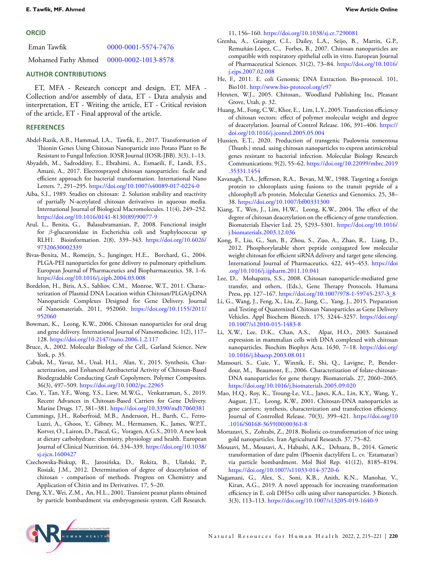#### **ORCID**

Eman Tawfik [0000-0001-5574-7476](#page-0-2)

Mohamed Fathy Ahmed [0000-0002-1013-8578](#page-0-2)

### **AUTHOR CONTRIBUTIONS**

ET, MFA - Research concept and design, ET, MFA - Collection and/or assembly of data, ET - Data analysis and interpretation, ET - Writing the article, ET - Critical revision of the article, ET - Final approval of the article.

#### **REFERENCES**

- <span id="page-5-14"></span>Abdel-Razik, A.B., Hammad, I.A., Tawfik, E., 2017. Transformation of Thionin Genes Using Chitosan Nanoparticle into Potato Plant to Be Resistant to Fungal Infection. IOSR Journal (IOSR-JBB). 3(3), 1–13.
- <span id="page-5-25"></span>Abyadeh, M., Sadroddiny, E., Ebrahimi, A., Esmaeili, F., Landi, F.S., Amani, A., 2017. Electrosprayed chitosan nanoparticles: facile and efficient approach for bacterial transformation. International Nano Letters. 7, 291–295. <https://doi.org/10.1007/s40089-017-0224-0>
- <span id="page-5-22"></span>Aiba, S.I., 1989. Studies on chitosan: 2. Solution stability and reactivity of partially N-acetylated chitosan derivatives in aqueous media. International Journal of Biological Macromolecules. 11(4), 249–252. [https://doi.org/10.1016/0141-8130\(89\)90077-9](https://doi.org/10.1016/0141-8130(89)90077-9)
- <span id="page-5-0"></span>Arul, L., Benita, G., Balasubramanian, P., 2008. Functional insight for *β*-glucuronidase in Escherichia coli and Staphylococcus sp RLH1. Bioinformation. 2(8), 339–343. [https://doi.org/10.6026/](https://doi.org/10.6026/97320630002339) [97320630002339](https://doi.org/10.6026/97320630002339)
- <span id="page-5-27"></span>Bivas-Benita, M., Romeijn, S., Junginger, H.E., Borchard, G., 2004. PLGA-PEI nanoparticles for gene delivery to pulmonary epithelium. European Journal of Pharmaceutics and Biopharmaceutics. 58, 1–6. <https://doi.org/10.1016/j.ejpb.2004.03.008>
- <span id="page-5-28"></span>Bordelon, H., Biris, A.S., Sabliov, C.M., Monroe, W.T., 2011. Characterization of Plasmid DNA Location within Chitosan/PLGA/pDNA Nanoparticle Complexes Designed for Gene Delivery. Journal of Nanomaterials. 2011, 952060. [https://doi.org/10.1155/2011/](https://doi.org/10.1155/2011/952060) [952060](https://doi.org/10.1155/2011/952060)
- <span id="page-5-23"></span>Bowman, K., Leong, K.W., 2006. Chitosan nanoparticles for oral drug and gene delivery. International Journal of Nanomedicine. 1(2), 117– 128. <https://doi.org/10.2147/nano.2006.1.2.117>
- <span id="page-5-3"></span>Bruce, A., 2002. Molecular Biology of the Cell,. Garland Science, New York, p. 35.
- <span id="page-5-6"></span>Cabuk, M., Yavuz, M., Unal, H.I., Alan, Y., 2015. Synthesis, Characterization, and Enhanced Antibacterial Activity of Chitosan-Based Biodegradable Conducting Graft Copolymers. Polymer Composites. 36(3), 497–509. <https://doi.org/10.1002/pc.22965>
- <span id="page-5-7"></span>Cao, Y., Tan, Y.F., Wong, Y.S., Liew, M.W.G., Venkatraman, S., 2019. Recent Advances in Chitosan-Based Carriers for Gene Delivery. Marine Drugs. 17, 381–381. <https://doi.org/10.3390/md17060381>
- <span id="page-5-1"></span>Cummings, J.H., Roberfroid, M.B., Andersson, H., Barth, C., Ferro-Luzzi, A., Ghoos, Y., Gibney, M., Hermansen, K., James, W.P.T., Korver, O., Lairon, D., Pascal, G., Voragen, A.G.S., 2010. A new look at dietary carbohydrate: chemistry, physiology and health. European Journal of Clinical Nutrition. 64, 334–339. [https://doi.org/10.1038/](https://doi.org/10.1038/sj.ejcn.1600427) [sj.ejcn.1600427](https://doi.org/10.1038/sj.ejcn.1600427)
- <span id="page-5-10"></span>Czechowska-Biskup, R., Jarosińska, D., Rokita, B., Ulański, P., Rosiak, J.M., 2012. Determination of degree of deacetylation of chitosan - comparison of methods. Progress on Chemistry and Application of Chitin and its Derivatives. 17, 5–20.
- <span id="page-5-16"></span>Deng, X.Y., Wei, Z.M., An, H.L., 2001. Transient peanut plants obtained by particle bombardment via embryogenesis system. Cell Research.

11, 156–160. <https://doi.org/10.1038/sj.cr.7290081>

- <span id="page-5-26"></span>Grenha, A., Grainger, C.I., Dailey, L.A., Seijo, B., Martin, G.P., Remuñán-López, C., Forbes, B., 2007. Chitosan nanoparticles are compatible with respiratory epithelial cells in vitro. European Journal of Pharmaceutical Sciences. 31(2), 73–84. [https://doi.org/10.1016/](https://doi.org/10.1016/j.ejps.2007.02.008) [j.ejps.2007.02.008](https://doi.org/10.1016/j.ejps.2007.02.008)
- <span id="page-5-9"></span>He, F., 2011. E. coli Genomic DNA Extraction. Bio-protocol. 101, Bio101. <http://www.bio-protocol.org/e97>
- <span id="page-5-2"></span>Hennen, W.J., 2005. Chitosan,. Woodland Publishing Inc, Pleasant Grove, Utah, p. 32.
- <span id="page-5-13"></span>Huang, M., Fong, C.W., Khor, E., Lim, L.Y., 2005. Transfection efficiency of chitosan vectors: effect of polymer molecular weight and degree of deacetylation. Journal of Control Release. 106, 391–406. [https://](https://doi.org/10.1016/j.jconrel.2005.05.004) [doi.org/10.1016/j.jconrel.2005.05.004](https://doi.org/10.1016/j.jconrel.2005.05.004)
- <span id="page-5-4"></span>Hussien, E.T., 2020. Production of transgenic Paulownia tomentosa (Thunb.) steud. using chitosan nanoparticles to express antimicrobial genes resistant to bacterial infection. Molecular Biology Research Communications. 9(2), 55–62. [https://doi.org/10.22099/mbrc.2019](https://doi.org/10.22099/mbrc.2019.35331.1454) [.35331.1454](https://doi.org/10.22099/mbrc.2019.35331.1454)
- <span id="page-5-15"></span>Kavanagh, T.A., Jefferson, R.A., Bevan, M.W., 1988. Targeting a foreign protein to chloroplasts using fusions to the transit peptide of a chlorophyll a/b protein. Molecular Genetics and Genomics. 25, 38– 38. <https://doi.org/10.1007/bf00331300>
- <span id="page-5-18"></span>Kiang, T., Wen, J., Lim, H.W., Leong, K.W., 2004. The effect of the degree of chitosan deacetylation on the efficiency of gene transfection. Biomaterials Elsevier Ltd. 25, 5293–5301. [https://doi.org/10.1016/](https://doi.org/10.1016/j.biomaterials.2003.12.036) [j.biomaterials.2003.12.036](https://doi.org/10.1016/j.biomaterials.2003.12.036)
- <span id="page-5-19"></span>Kong, F., Liu, G., Sun, B., Zhou, S., Zuo, A., Zhao, R., Liang, D., 2012. Phosphorylatable short peptide conjugated low molecular weight chitosan for efficient siRNA delivery and target gene silencing. International Journal of Pharmaceutics. 422, 445–453. [https://doi](https://doi.org/10.1016/j.ijpharm.2011.10.041) [.org/10.1016/j.ijpharm.2011.10.041](https://doi.org/10.1016/j.ijpharm.2011.10.041)
- <span id="page-5-8"></span>Lee, D., Mohapatra, S.S., 2008. Chitosan nanoparticle-mediated gene transfer, and others, (Eds.), Gene Therapy Protocols. Humana Press, pp. 127–167. [https://doi.org/10.1007/978-1-59745-237-3\\_8](https://doi.org/10.1007/978-1-59745-237-3_8)
- <span id="page-5-5"></span>Li, G., Wang, J., Feng, X., Liu, Z., Jiang, C., Yang, J., 2015. Preparation and Testing of Quaternized Chitosan Nanoparticles as Gene Delivery Vehicles. Appl Biochem Biotech. 175, 3244–3257. [https://doi.org/](https://doi.org/10.1007/s12010-015-1483-8) [10.1007/s12010-015-1483-8](https://doi.org/10.1007/s12010-015-1483-8)
- <span id="page-5-12"></span>Li, X.W., Lee, D.K., Chan, A.S., Alpar, H.O., 2003. Sustained expression in mammalian cells with DNA complexed with chitosan nanoparticles. Biochim Biophys Acta. 1630, 7–18. [https://doi.org/](https://doi.org/10.1016/j.bbaexp.2003.08.011) [10.1016/j.bbaexp.2003.08.011](https://doi.org/10.1016/j.bbaexp.2003.08.011)
- <span id="page-5-11"></span>Mansouri, S., Cuie, Y., Winnik, F., Shi, Q., Lavigne, P., Benderdour, M., Beaumont, E., 2006. Characterization of folate-chitosan-DNA nanoparticles for gene therapy. Biomaterials. 27, 2060–2065. <https://doi.org/10.1016/j.biomaterials.2005.09.020>
- <span id="page-5-24"></span>Mao, H.Q., Roy, K., Troung-Le, V.L., Janes, K.A., Lin, K.Y., Wang, Y., August, J.T., Leong, K.W., 2001. Chitosan-DNA nanoparticles as gene carriers: synthesis, characterization and transfection efficiency. Journal of Controlled Release. 70(3), 399–421. [https://doi.org/10](https://doi.org/10.1016/S0168-3659(00)00361-8) [.1016/S0168-3659\(00\)00361-8](https://doi.org/10.1016/S0168-3659(00)00361-8)
- <span id="page-5-20"></span>Mortazavi, S., Zohrabi, Z., 2018. Biolistic co-transformation of rice using gold nanoparticles. Iran Agricultural Research. 37, 75–82.
- <span id="page-5-17"></span>Mousavi, M., Mousavi, A., Habashi, A.K., Dehsara, B., 2014. Genetic transformation of date palm (Phoenix dactylifera L. cv. 'Estamaran') via particle bombardment. Mol Biol Rep. 41(12), 8185–8194. <https://doi.org/10.1007/s11033-014-3720-6>
- <span id="page-5-21"></span>Nagamani, G., Alex, S., Soni, K.B., Anith, K.N., Manohar, V., Kiran, A.G., 2019. A novel approach for increasing transformation efficiency in E. coli DH5*α* cells using silver nanoparticles. 3 Biotech. 3(3), 113–113. <https://doi.org/10.1007/s13205-019-1640-9>